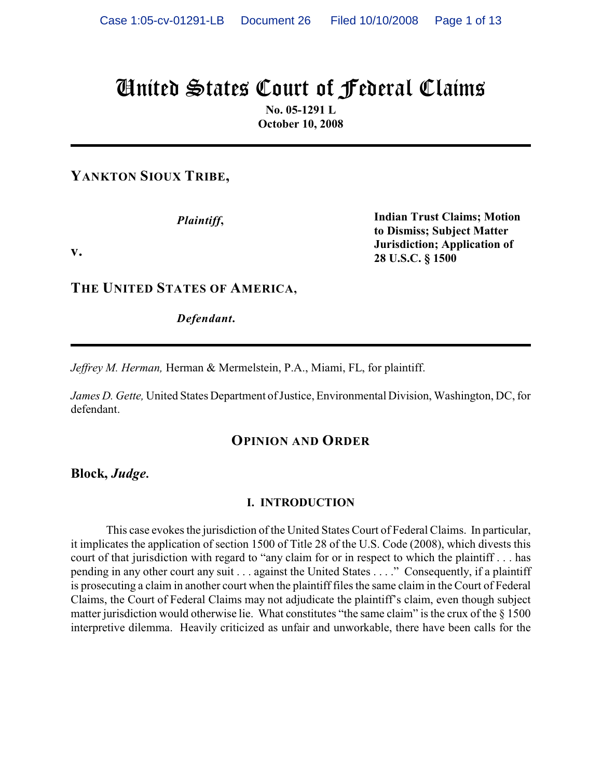# United States Court of Federal Claims

**No. 05-1291 L October 10, 2008**

**YANKTON SIOUX TRIBE,**

*Plaintiff***,**

**Indian Trust Claims; Motion to Dismiss; Subject Matter Jurisdiction; Application of 28 U.S.C. § 1500**

**v.**

**THE UNITED STATES OF AMERICA,**

*Defendant***.**

*Jeffrey M. Herman,* Herman & Mermelstein, P.A., Miami, FL, for plaintiff.

*James D. Gette,* United States Department of Justice, Environmental Division, Washington, DC, for defendant.

### **OPINION AND ORDER**

**Block,** *Judge***.**

### **I. INTRODUCTION**

This case evokes the jurisdiction of the United States Court of Federal Claims. In particular, it implicates the application of section 1500 of Title 28 of the U.S. Code (2008), which divests this court of that jurisdiction with regard to "any claim for or in respect to which the plaintiff . . . has pending in any other court any suit . . . against the United States . . . ." Consequently, if a plaintiff is prosecuting a claim in another court when the plaintiff files the same claim in the Court of Federal Claims, the Court of Federal Claims may not adjudicate the plaintiff's claim, even though subject matter jurisdiction would otherwise lie. What constitutes "the same claim" is the crux of the § 1500 interpretive dilemma. Heavily criticized as unfair and unworkable, there have been calls for the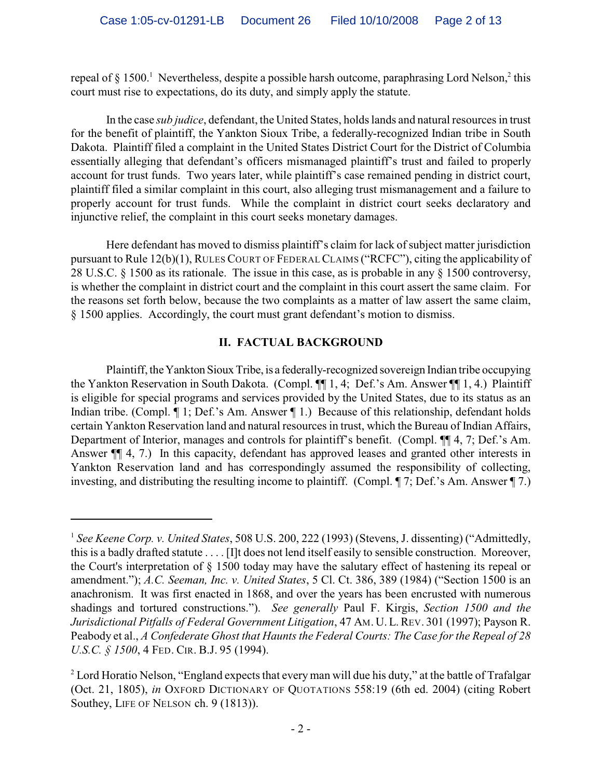repeal of § 1500. Nevertheless, despite a possible harsh outcome, paraphrasing Lord Nelson, 2 this court must rise to expectations, do its duty, and simply apply the statute.

In the case *sub judice*, defendant, the United States, holds lands and natural resources in trust for the benefit of plaintiff, the Yankton Sioux Tribe, a federally-recognized Indian tribe in South Dakota. Plaintiff filed a complaint in the United States District Court for the District of Columbia essentially alleging that defendant's officers mismanaged plaintiff's trust and failed to properly account for trust funds. Two years later, while plaintiff's case remained pending in district court, plaintiff filed a similar complaint in this court, also alleging trust mismanagement and a failure to properly account for trust funds. While the complaint in district court seeks declaratory and injunctive relief, the complaint in this court seeks monetary damages.

Here defendant has moved to dismiss plaintiff's claim for lack of subject matter jurisdiction pursuant to Rule 12(b)(1), RULES COURT OF FEDERAL CLAIMS ("RCFC"), citing the applicability of 28 U.S.C. § 1500 as its rationale. The issue in this case, as is probable in any § 1500 controversy, is whether the complaint in district court and the complaint in this court assert the same claim. For the reasons set forth below, because the two complaints as a matter of law assert the same claim, § 1500 applies. Accordingly, the court must grant defendant's motion to dismiss.

### **II. FACTUAL BACKGROUND**

Plaintiff, the Yankton Sioux Tribe, is a federally-recognized sovereign Indian tribe occupying the Yankton Reservation in South Dakota. (Compl. ¶¶ 1, 4; Def.'s Am. Answer ¶¶ 1, 4.) Plaintiff is eligible for special programs and services provided by the United States, due to its status as an Indian tribe. (Compl. ¶ 1; Def.'s Am. Answer ¶ 1.) Because of this relationship, defendant holds certain Yankton Reservation land and natural resources in trust, which the Bureau of Indian Affairs, Department of Interior, manages and controls for plaintiff's benefit. (Compl. ¶¶ 4, 7; Def.'s Am. Answer ¶¶ 4, 7.) In this capacity, defendant has approved leases and granted other interests in Yankton Reservation land and has correspondingly assumed the responsibility of collecting, investing, and distributing the resulting income to plaintiff. (Compl. ¶ 7; Def.'s Am. Answer ¶ 7.)

<sup>&</sup>lt;sup>1</sup> See Keene Corp. v. United States, 508 U.S. 200, 222 (1993) (Stevens, J. dissenting) ("Admittedly, this is a badly drafted statute . . . . [I]t does not lend itself easily to sensible construction. Moreover, the Court's interpretation of § 1500 today may have the salutary effect of hastening its repeal or amendment."); *A.C. Seeman, Inc. v. United States*, 5 Cl. Ct. 386, 389 (1984) ("Section 1500 is an anachronism. It was first enacted in 1868, and over the years has been encrusted with numerous shadings and tortured constructions."). *See generally* Paul F. Kirgis, *Section 1500 and the Jurisdictional Pitfalls of Federal Government Litigation*, 47 AM. U. L.REV. 301 (1997); Payson R. Peabody et al., *A Confederate Ghost that Haunts the Federal Courts: The Case for the Repeal of 28 U.S.C. § 1500*, 4 FED. CIR. B.J. 95 (1994).

 $2^2$  Lord Horatio Nelson, "England expects that every man will due his duty," at the battle of Trafalgar (Oct. 21, 1805), *in* OXFORD DICTIONARY OF QUOTATIONS 558:19 (6th ed. 2004) (citing Robert Southey, LIFE OF NELSON ch. 9 (1813)).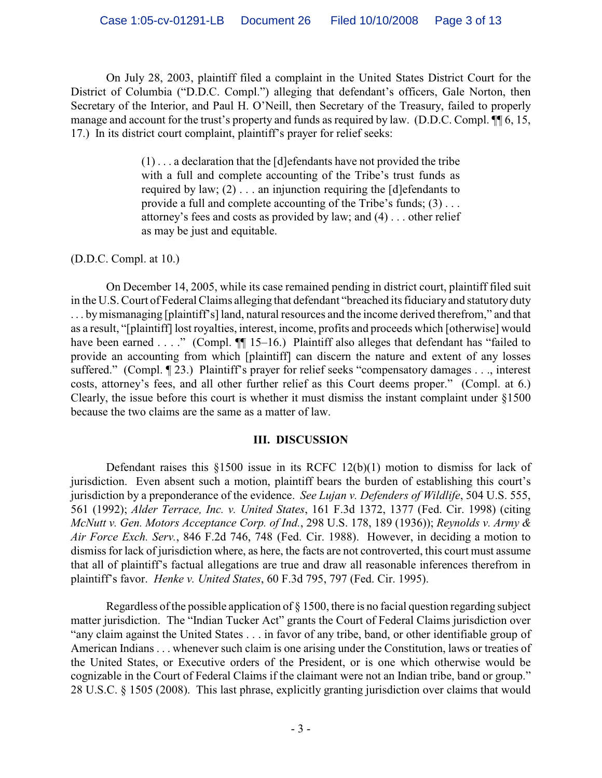On July 28, 2003, plaintiff filed a complaint in the United States District Court for the District of Columbia ("D.D.C. Compl.") alleging that defendant's officers, Gale Norton, then Secretary of the Interior, and Paul H. O'Neill, then Secretary of the Treasury, failed to properly manage and account for the trust's property and funds as required by law. (D.D.C. Compl.  $\P$  6, 15, 17.) In its district court complaint, plaintiff's prayer for relief seeks:

> $(1)$ ... a declaration that the [d]efendants have not provided the tribe with a full and complete accounting of the Tribe's trust funds as required by law;  $(2)$ ... an injunction requiring the [d]efendants to provide a full and complete accounting of the Tribe's funds; (3) . . . attorney's fees and costs as provided by law; and (4) . . . other relief as may be just and equitable.

### (D.D.C. Compl. at 10.)

On December 14, 2005, while its case remained pending in district court, plaintiff filed suit in the U.S. Court of Federal Claims alleging that defendant "breached its fiduciary and statutory duty . . . bymismanaging [plaintiff's] land, natural resources and the income derived therefrom," and that as a result, "[plaintiff] lost royalties, interest, income, profits and proceeds which [otherwise] would have been earned . . . ." (Compl.  $\P$  15–16.) Plaintiff also alleges that defendant has "failed to provide an accounting from which [plaintiff] can discern the nature and extent of any losses suffered." (Compl. ¶ 23.) Plaintiff's prayer for relief seeks "compensatory damages . . ., interest costs, attorney's fees, and all other further relief as this Court deems proper." (Compl. at 6.) Clearly, the issue before this court is whether it must dismiss the instant complaint under §1500 because the two claims are the same as a matter of law.

### **III. DISCUSSION**

Defendant raises this §1500 issue in its RCFC 12(b)(1) motion to dismiss for lack of jurisdiction. Even absent such a motion, plaintiff bears the burden of establishing this court's jurisdiction by a preponderance of the evidence. *See Lujan v. Defenders of Wildlife*, 504 U.S. 555, 561 (1992); *Alder Terrace, Inc. v. United States*, 161 F.3d 1372, 1377 (Fed. Cir. 1998) (citing *McNutt v. Gen. Motors Acceptance Corp. of Ind.*, 298 U.S. 178, 189 (1936)); *Reynolds v. Army & Air Force Exch. Serv.*, 846 F.2d 746, 748 (Fed. Cir. 1988). However, in deciding a motion to dismiss for lack of jurisdiction where, as here, the facts are not controverted, this court must assume that all of plaintiff's factual allegations are true and draw all reasonable inferences therefrom in plaintiff's favor. *Henke v. United States*, 60 F.3d 795, 797 (Fed. Cir. 1995).

Regardless of the possible application of § 1500, there is no facial question regarding subject matter jurisdiction. The "Indian Tucker Act" grants the Court of Federal Claims jurisdiction over "any claim against the United States . . . in favor of any tribe, band, or other identifiable group of American Indians . . . whenever such claim is one arising under the Constitution, laws or treaties of the United States, or Executive orders of the President, or is one which otherwise would be cognizable in the Court of Federal Claims if the claimant were not an Indian tribe, band or group." 28 U.S.C. § 1505 (2008). This last phrase, explicitly granting jurisdiction over claims that would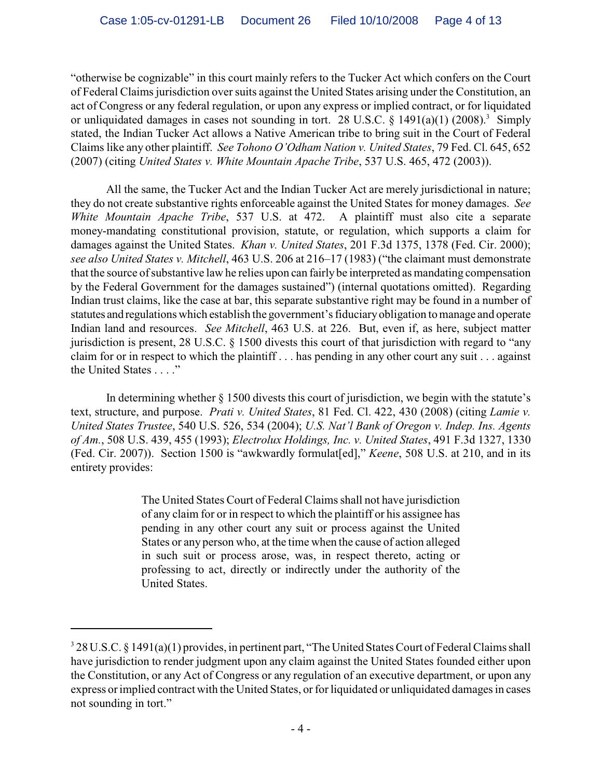"otherwise be cognizable" in this court mainly refers to the Tucker Act which confers on the Court of Federal Claims jurisdiction over suits against the United States arising under the Constitution, an act of Congress or any federal regulation, or upon any express or implied contract, or for liquidated or unliquidated damages in cases not sounding in tort. 28 U.S.C.  $\S$  1491(a)(1) (2008).<sup>3</sup> Simply stated, the Indian Tucker Act allows a Native American tribe to bring suit in the Court of Federal Claims like any other plaintiff. *See Tohono O'Odham Nation v. United States*, 79 Fed. Cl. 645, 652 (2007) (citing *United States v. White Mountain Apache Tribe*, 537 U.S. 465, 472 (2003)).

All the same, the Tucker Act and the Indian Tucker Act are merely jurisdictional in nature; they do not create substantive rights enforceable against the United States for money damages. *See White Mountain Apache Tribe*, 537 U.S. at 472. A plaintiff must also cite a separate money-mandating constitutional provision, statute, or regulation, which supports a claim for damages against the United States. *Khan v. United States*, 201 F.3d 1375, 1378 (Fed. Cir. 2000); *see also United States v. Mitchell*, 463 U.S. 206 at 216–17 (1983) ("the claimant must demonstrate that the source of substantive law he relies upon can fairly be interpreted as mandating compensation by the Federal Government for the damages sustained") (internal quotations omitted). Regarding Indian trust claims, like the case at bar, this separate substantive right may be found in a number of statutes and regulations which establish the government's fiduciary obligation to manage and operate Indian land and resources. *See Mitchell*, 463 U.S. at 226. But, even if, as here, subject matter jurisdiction is present, 28 U.S.C. § 1500 divests this court of that jurisdiction with regard to "any claim for or in respect to which the plaintiff . . . has pending in any other court any suit . . . against the United States . . . ."

In determining whether § 1500 divests this court of jurisdiction, we begin with the statute's text, structure, and purpose. *Prati v. United States*, 81 Fed. Cl. 422, 430 (2008) (citing *Lamie v. United States Trustee*, 540 U.S. 526, 534 (2004); *U.S. Nat'l Bank of Oregon v. Indep. Ins. Agents of Am.*, 508 U.S. 439, 455 (1993); *Electrolux Holdings, Inc. v. United States*, 491 F.3d 1327, 1330 (Fed. Cir. 2007)). Section 1500 is "awkwardly formulat[ed]," *Keene*, 508 U.S. at 210, and in its entirety provides:

> The United States Court of Federal Claims shall not have jurisdiction of any claim for or in respect to which the plaintiff or his assignee has pending in any other court any suit or process against the United States or any person who, at the time when the cause of action alleged in such suit or process arose, was, in respect thereto, acting or professing to act, directly or indirectly under the authority of the United States.

<sup>&</sup>lt;sup>3</sup> 28 U.S.C. § 1491(a)(1) provides, in pertinent part, "The United States Court of Federal Claims shall have jurisdiction to render judgment upon any claim against the United States founded either upon the Constitution, or any Act of Congress or any regulation of an executive department, or upon any express or implied contract with the United States, or for liquidated or unliquidated damages in cases not sounding in tort."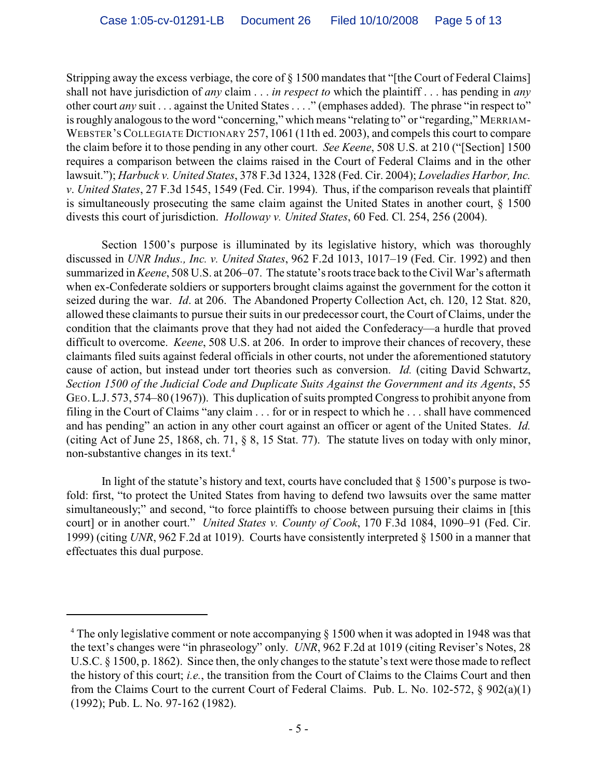Stripping away the excess verbiage, the core of § 1500 mandates that "[the Court of Federal Claims] shall not have jurisdiction of *any* claim . . . *in respect to* which the plaintiff . . . has pending in *any* other court *any* suit . . . against the United States . . . ." (emphases added). The phrase "in respect to" is roughly analogous to the word "concerning," which means "relating to" or "regarding," MERRIAM-WEBSTER'S COLLEGIATE DICTIONARY 257, 1061 (11th ed. 2003), and compels this court to compare the claim before it to those pending in any other court. *See Keene*, 508 U.S. at 210 ("[Section] 1500 requires a comparison between the claims raised in the Court of Federal Claims and in the other lawsuit."); *Harbuck v. United States*, 378 F.3d 1324, 1328 (Fed. Cir. 2004); *Loveladies Harbor, Inc. v*. *United States*, 27 F.3d 1545, 1549 (Fed. Cir. 1994). Thus, if the comparison reveals that plaintiff is simultaneously prosecuting the same claim against the United States in another court, § 1500 divests this court of jurisdiction. *Holloway v. United States*, 60 Fed. Cl. 254, 256 (2004).

Section 1500's purpose is illuminated by its legislative history, which was thoroughly discussed in *UNR Indus., Inc. v. United States*, 962 F.2d 1013, 1017–19 (Fed. Cir. 1992) and then summarized in *Keene*, 508 U.S. at 206–07. The statute'srootstrace back to the Civil War's aftermath when ex-Confederate soldiers or supporters brought claims against the government for the cotton it seized during the war. *Id*. at 206. The Abandoned Property Collection Act, ch. 120, 12 Stat. 820, allowed these claimants to pursue their suits in our predecessor court, the Court of Claims, under the condition that the claimants prove that they had not aided the Confederacy—a hurdle that proved difficult to overcome. *Keene*, 508 U.S. at 206. In order to improve their chances of recovery, these claimants filed suits against federal officials in other courts, not under the aforementioned statutory cause of action, but instead under tort theories such as conversion. *Id.* (citing David Schwartz, *Section 1500 of the Judicial Code and Duplicate Suits Against the Government and its Agents*, 55 GEO.L.J. 573, 574–80 (1967)). This duplication of suits prompted Congress to prohibit anyone from filing in the Court of Claims "any claim . . . for or in respect to which he . . . shall have commenced and has pending" an action in any other court against an officer or agent of the United States. *Id.* (citing Act of June 25, 1868, ch. 71, § 8, 15 Stat. 77). The statute lives on today with only minor, non-substantive changes in its text.<sup>4</sup>

In light of the statute's history and text, courts have concluded that  $\S$  1500's purpose is twofold: first, "to protect the United States from having to defend two lawsuits over the same matter simultaneously;" and second, "to force plaintiffs to choose between pursuing their claims in [this court] or in another court." *United States v. County of Cook*, 170 F.3d 1084, 1090–91 (Fed. Cir. 1999) (citing *UNR*, 962 F.2d at 1019).Courts have consistently interpreted § 1500 in a manner that effectuates this dual purpose.

<sup>&</sup>lt;sup>4</sup> The only legislative comment or note accompanying  $\S$  1500 when it was adopted in 1948 was that the text's changes were "in phraseology" only. *UNR*, 962 F.2d at 1019 (citing Reviser's Notes, 28 U.S.C. § 1500, p. 1862). Since then, the only changes to the statute's text were those made to reflect the history of this court; *i.e.*, the transition from the Court of Claims to the Claims Court and then from the Claims Court to the current Court of Federal Claims. Pub. L. No. 102-572, § 902(a)(1) (1992); Pub. L. No. 97-162 (1982).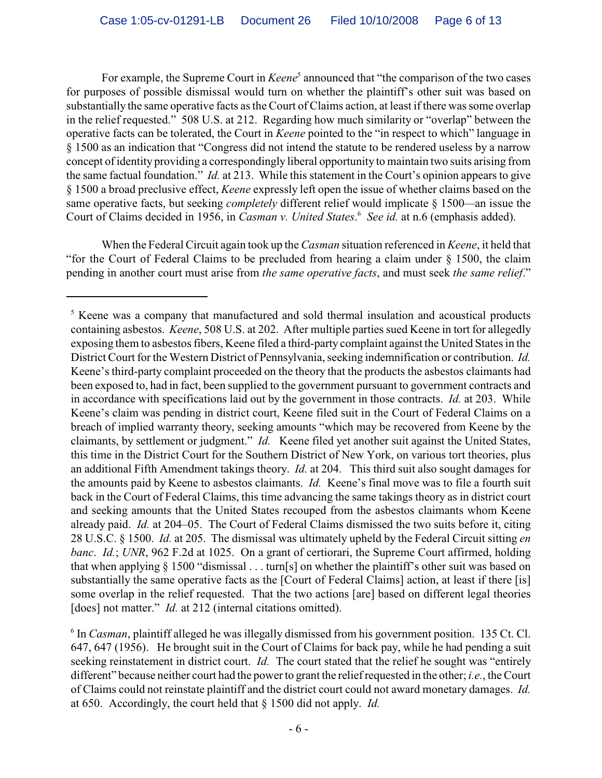For example, the Supreme Court in *Keene*<sup>5</sup> announced that "the comparison of the two cases" for purposes of possible dismissal would turn on whether the plaintiff's other suit was based on substantially the same operative facts as the Court of Claims action, at least if there was some overlap in the relief requested." 508 U.S. at 212. Regarding how much similarity or "overlap" between the operative facts can be tolerated, the Court in *Keene* pointed to the "in respect to which" language in § 1500 as an indication that "Congress did not intend the statute to be rendered useless by a narrow concept of identity providing a correspondingly liberal opportunity to maintain two suits arising from the same factual foundation." *Id.* at 213. While this statement in the Court's opinion appears to give § 1500 a broad preclusive effect, *Keene* expressly left open the issue of whether claims based on the same operative facts, but seeking *completely* different relief would implicate § 1500*—*an issue the Court of Claims decided in 1956, in *Casman v. United States.*<sup>6</sup> See id. at n.6 (emphasis added).

When the Federal Circuit again took up the *Casman* situation referenced in *Keene*, it held that "for the Court of Federal Claims to be precluded from hearing a claim under § 1500, the claim pending in another court must arise from *the same operative facts*, and must seek *the same relief*."

 $5$  Keene was a company that manufactured and sold thermal insulation and acoustical products containing asbestos. *Keene*, 508 U.S. at 202. After multiple parties sued Keene in tort for allegedly exposing them to asbestos fibers, Keene filed a third-party complaint against the United States in the District Court for the Western District of Pennsylvania, seeking indemnification or contribution. *Id.* Keene's third-party complaint proceeded on the theory that the products the asbestos claimants had been exposed to, had in fact, been supplied to the government pursuant to government contracts and in accordance with specifications laid out by the government in those contracts. *Id.* at 203. While Keene's claim was pending in district court, Keene filed suit in the Court of Federal Claims on a breach of implied warranty theory, seeking amounts "which may be recovered from Keene by the claimants, by settlement or judgment." *Id.*Keene filed yet another suit against the United States, this time in the District Court for the Southern District of New York, on various tort theories, plus an additional Fifth Amendment takings theory. *Id.* at 204. This third suit also sought damages for the amounts paid by Keene to asbestos claimants. *Id.* Keene's final move was to file a fourth suit back in the Court of Federal Claims, this time advancing the same takings theory as in district court and seeking amounts that the United States recouped from the asbestos claimants whom Keene already paid. *Id.* at 204–05. The Court of Federal Claims dismissed the two suits before it, citing 28 U.S.C. § 1500. *Id.* at 205. The dismissal was ultimately upheld by the Federal Circuit sitting *en banc*. *Id.*; *UNR*, 962 F.2d at 1025.On a grant of certiorari, the Supreme Court affirmed, holding that when applying § 1500 "dismissal . . . turn[s] on whether the plaintiff's other suit was based on substantially the same operative facts as the [Court of Federal Claims] action, at least if there [is] some overlap in the relief requested. That the two actions [are] based on different legal theories [does] not matter." *Id.* at 212 (internal citations omitted).

<sup>&</sup>lt;sup>6</sup> In *Casman*, plaintiff alleged he was illegally dismissed from his government position. 135 Ct. Cl. 647, 647 (1956). He brought suit in the Court of Claims for back pay, while he had pending a suit seeking reinstatement in district court. *Id.* The court stated that the relief he sought was "entirely different" because neither court had the power to grant the relief requested in the other; *i.e.*, the Court of Claims could not reinstate plaintiff and the district court could not award monetary damages. *Id.* at 650. Accordingly, the court held that § 1500 did not apply. *Id.*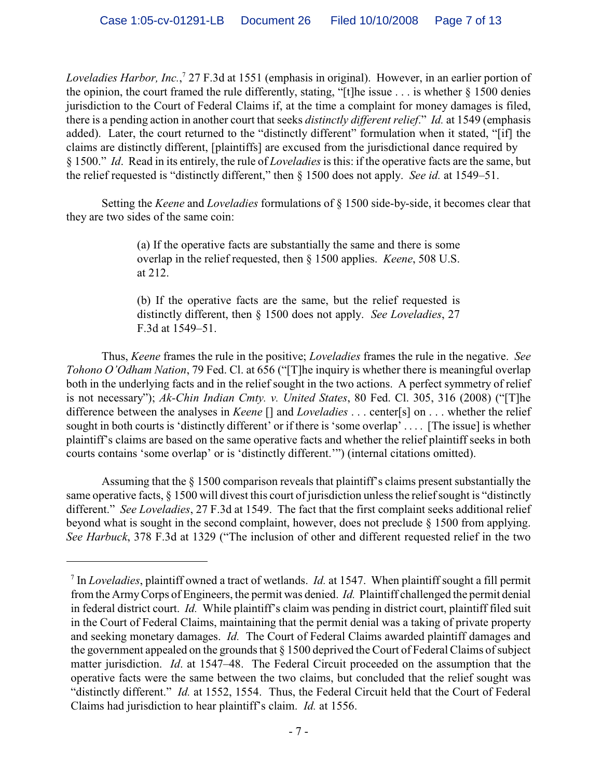*Loveladies Harbor, Inc.*,<sup>7</sup> 27 F.3d at 1551 (emphasis in original). However, in an earlier portion of the opinion, the court framed the rule differently, stating, "[t]he issue . . . is whether § 1500 denies jurisdiction to the Court of Federal Claims if, at the time a complaint for money damages is filed, there is a pending action in another court that seeks *distinctly different relief*." *Id.* at 1549 (emphasis added). Later, the court returned to the "distinctly different" formulation when it stated, "[if] the claims are distinctly different, [plaintiffs] are excused from the jurisdictional dance required by § 1500." *Id*. Read in its entirely, the rule of *Loveladies*is this: if the operative facts are the same, but the relief requested is "distinctly different," then § 1500 does not apply. *See id.* at 1549–51.

Setting the *Keene* and *Loveladies* formulations of § 1500 side-by-side, it becomes clear that they are two sides of the same coin:

> (a) If the operative facts are substantially the same and there is some overlap in the relief requested, then § 1500 applies. *Keene*, 508 U.S. at 212.

> (b) If the operative facts are the same, but the relief requested is distinctly different, then § 1500 does not apply. *See Loveladies*, 27 F.3d at 1549–51.

Thus, *Keene* frames the rule in the positive; *Loveladies* frames the rule in the negative. *See Tohono O'Odham Nation*, 79 Fed. Cl. at 656 ("[T]he inquiry is whether there is meaningful overlap both in the underlying facts and in the relief sought in the two actions. A perfect symmetry of relief is not necessary"); *Ak-Chin Indian Cmty. v. United States*, 80 Fed. Cl. 305, 316 (2008) ("[T]he difference between the analyses in *Keene* [] and *Loveladies* . . . center[s] on . . . whether the relief sought in both courts is 'distinctly different' or if there is 'some overlap' . . . . [The issue] is whether plaintiff's claims are based on the same operative facts and whether the relief plaintiff seeks in both courts contains 'some overlap' or is 'distinctly different.'") (internal citations omitted).

Assuming that the § 1500 comparison reveals that plaintiff's claims present substantially the same operative facts, § 1500 will divest this court of jurisdiction unless the relief sought is "distinctly" different." *See Loveladies*, 27 F.3d at 1549. The fact that the first complaint seeks additional relief beyond what is sought in the second complaint, however, does not preclude § 1500 from applying. *See Harbuck*, 378 F.3d at 1329 ("The inclusion of other and different requested relief in the two

<sup>&</sup>lt;sup>7</sup> In *Loveladies*, plaintiff owned a tract of wetlands. *Id.* at 1547. When plaintiff sought a fill permit from the Army Corps of Engineers, the permit was denied. *Id.* Plaintiff challenged the permit denial in federal district court. *Id.* While plaintiff's claim was pending in district court, plaintiff filed suit in the Court of Federal Claims, maintaining that the permit denial was a taking of private property and seeking monetary damages. *Id.* The Court of Federal Claims awarded plaintiff damages and the government appealed on the grounds that § 1500 deprived the Court of Federal Claims of subject matter jurisdiction. *Id*. at 1547–48. The Federal Circuit proceeded on the assumption that the operative facts were the same between the two claims, but concluded that the relief sought was "distinctly different." *Id.* at 1552, 1554. Thus, the Federal Circuit held that the Court of Federal Claims had jurisdiction to hear plaintiff's claim. *Id.* at 1556.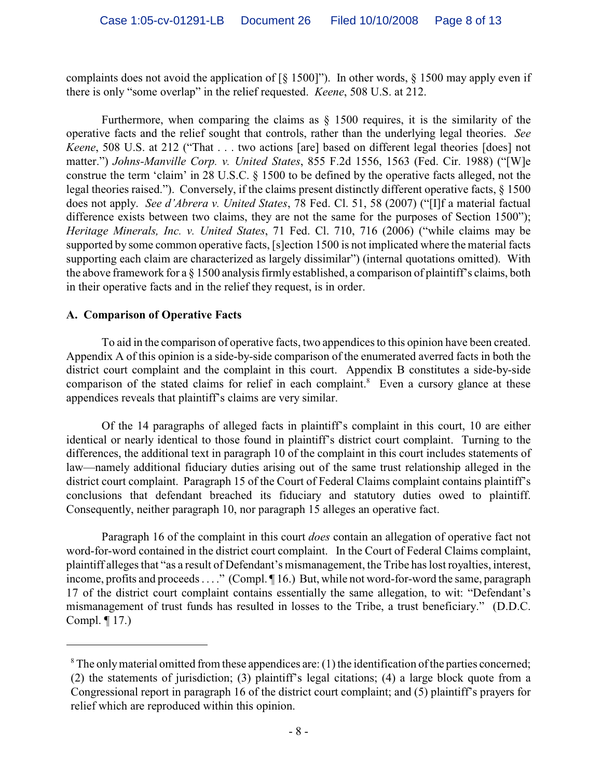complaints does not avoid the application of  $\lceil \frac{6}{5} \rceil 500 \rceil$ "). In other words,  $\frac{6}{5} \rceil 500$  may apply even if there is only "some overlap" in the relief requested. *Keene*, 508 U.S. at 212.

Furthermore, when comparing the claims as  $\S$  1500 requires, it is the similarity of the operative facts and the relief sought that controls, rather than the underlying legal theories. *See Keene*, 508 U.S. at 212 ("That . . . two actions [are] based on different legal theories [does] not matter.") *Johns-Manville Corp. v. United States*, 855 F.2d 1556, 1563 (Fed. Cir. 1988) ("[W]e construe the term 'claim' in 28 U.S.C. § 1500 to be defined by the operative facts alleged, not the legal theories raised."). Conversely, if the claims present distinctly different operative facts, § 1500 does not apply. *See d'Abrera v. United States*, 78 Fed. Cl. 51, 58 (2007) ("[I]f a material factual difference exists between two claims, they are not the same for the purposes of Section 1500"); *Heritage Minerals, Inc. v. United States*, 71 Fed. Cl. 710, 716 (2006) ("while claims may be supported by some common operative facts, [s]ection 1500 is not implicated where the material facts supporting each claim are characterized as largely dissimilar") (internal quotations omitted). With the above framework for a § 1500 analysis firmly established, a comparison of plaintiff's claims, both in their operative facts and in the relief they request, is in order.

### **A. Comparison of Operative Facts**

To aid in the comparison of operative facts, two appendices to this opinion have been created. Appendix A of this opinion is a side-by-side comparison of the enumerated averred facts in both the district court complaint and the complaint in this court. Appendix B constitutes a side-by-side comparison of the stated claims for relief in each complaint.<sup>8</sup> Even a cursory glance at these appendices reveals that plaintiff's claims are very similar.

Of the 14 paragraphs of alleged facts in plaintiff's complaint in this court, 10 are either identical or nearly identical to those found in plaintiff's district court complaint. Turning to the differences, the additional text in paragraph 10 of the complaint in this court includes statements of law—namely additional fiduciary duties arising out of the same trust relationship alleged in the district court complaint. Paragraph 15 of the Court of Federal Claims complaint contains plaintiff's conclusions that defendant breached its fiduciary and statutory duties owed to plaintiff. Consequently, neither paragraph 10, nor paragraph 15 alleges an operative fact.

Paragraph 16 of the complaint in this court *does* contain an allegation of operative fact not word-for-word contained in the district court complaint. In the Court of Federal Claims complaint, plaintiff alleges that "as a result of Defendant's mismanagement, the Tribe has lost royalties, interest, income, profits and proceeds . . . ." (Compl.  $\P$ 16.) But, while not word-for-word the same, paragraph 17 of the district court complaint contains essentially the same allegation, to wit: "Defendant's mismanagement of trust funds has resulted in losses to the Tribe, a trust beneficiary." (D.D.C. Compl. ¶ 17.)

 ${}^8$ The only material omitted from these appendices are: (1) the identification of the parties concerned; (2) the statements of jurisdiction; (3) plaintiff's legal citations; (4) a large block quote from a Congressional report in paragraph 16 of the district court complaint; and (5) plaintiff's prayers for relief which are reproduced within this opinion.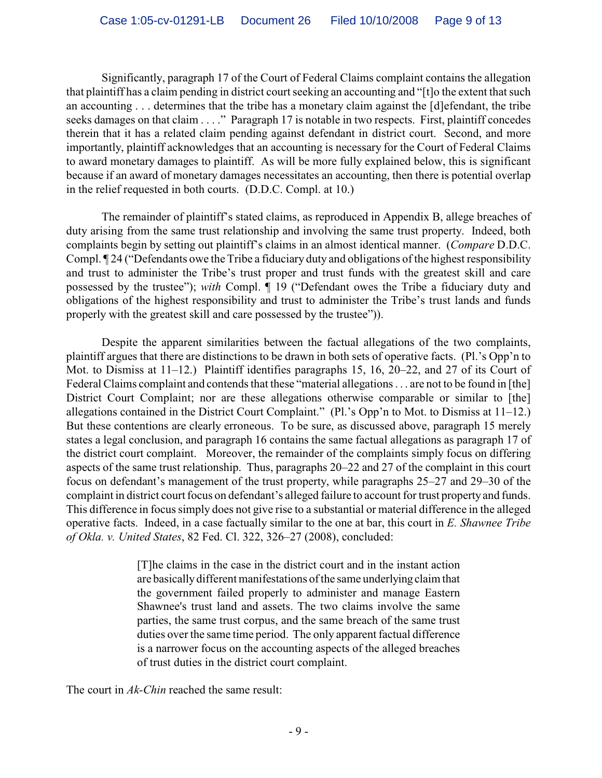Significantly, paragraph 17 of the Court of Federal Claims complaint contains the allegation that plaintiff has a claim pending in district court seeking an accounting and "[t]o the extent that such an accounting . . . determines that the tribe has a monetary claim against the [d]efendant, the tribe seeks damages on that claim . . . ." Paragraph 17 is notable in two respects. First, plaintiff concedes therein that it has a related claim pending against defendant in district court. Second, and more importantly, plaintiff acknowledges that an accounting is necessary for the Court of Federal Claims to award monetary damages to plaintiff. As will be more fully explained below, this is significant because if an award of monetary damages necessitates an accounting, then there is potential overlap in the relief requested in both courts. (D.D.C. Compl. at 10.)

The remainder of plaintiff's stated claims, as reproduced in Appendix B, allege breaches of duty arising from the same trust relationship and involving the same trust property. Indeed, both complaints begin by setting out plaintiff's claims in an almost identical manner. (*Compare* D.D.C. Compl. ¶ 24 ("Defendants owe the Tribe a fiduciary duty and obligations of the highest responsibility and trust to administer the Tribe's trust proper and trust funds with the greatest skill and care possessed by the trustee"); *with* Compl. ¶ 19 ("Defendant owes the Tribe a fiduciary duty and obligations of the highest responsibility and trust to administer the Tribe's trust lands and funds properly with the greatest skill and care possessed by the trustee")).

Despite the apparent similarities between the factual allegations of the two complaints, plaintiff argues that there are distinctions to be drawn in both sets of operative facts. (Pl.'s Opp'n to Mot. to Dismiss at 11–12.) Plaintiff identifies paragraphs 15, 16, 20–22, and 27 of its Court of Federal Claims complaint and contends that these "material allegations . . . are not to be found in [the] District Court Complaint; nor are these allegations otherwise comparable or similar to [the] allegations contained in the District Court Complaint." (Pl.'s Opp'n to Mot. to Dismiss at 11–12.) But these contentions are clearly erroneous. To be sure, as discussed above, paragraph 15 merely states a legal conclusion, and paragraph 16 contains the same factual allegations as paragraph 17 of the district court complaint. Moreover, the remainder of the complaints simply focus on differing aspects of the same trust relationship. Thus, paragraphs 20–22 and 27 of the complaint in this court focus on defendant's management of the trust property, while paragraphs 25–27 and 29–30 of the complaint in district court focus on defendant's alleged failure to account for trust property and funds. This difference in focus simply does not give rise to a substantial or material difference in the alleged operative facts. Indeed, in a case factually similar to the one at bar, this court in *E. Shawnee Tribe of Okla. v. United States*, 82 Fed. Cl. 322, 326–27 (2008), concluded:

> [T]he claims in the case in the district court and in the instant action are basically different manifestations of the same underlying claim that the government failed properly to administer and manage Eastern Shawnee's trust land and assets. The two claims involve the same parties, the same trust corpus, and the same breach of the same trust duties over the same time period. The only apparent factual difference is a narrower focus on the accounting aspects of the alleged breaches of trust duties in the district court complaint.

The court in *Ak-Chin* reached the same result: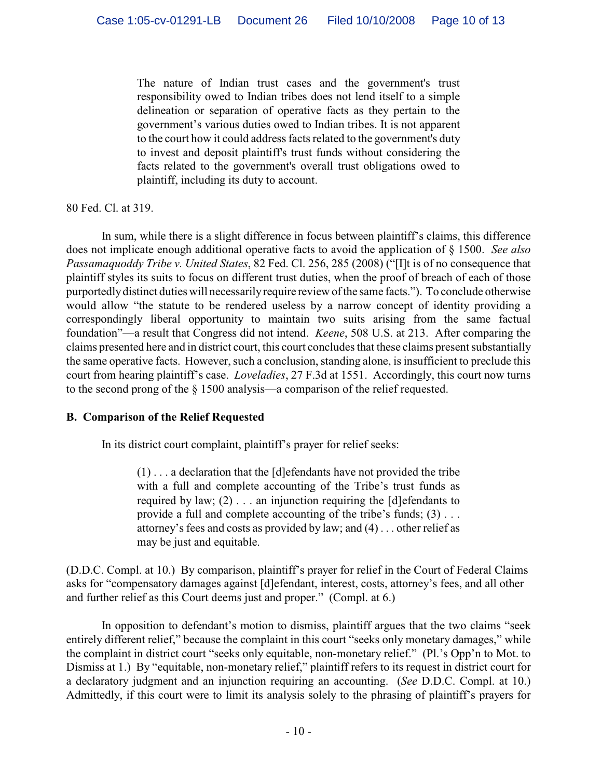The nature of Indian trust cases and the government's trust responsibility owed to Indian tribes does not lend itself to a simple delineation or separation of operative facts as they pertain to the government's various duties owed to Indian tribes. It is not apparent to the court how it could address facts related to the government's duty to invest and deposit plaintiff's trust funds without considering the facts related to the government's overall trust obligations owed to plaintiff, including its duty to account.

### 80 Fed. Cl. at 319.

In sum, while there is a slight difference in focus between plaintiff's claims, this difference does not implicate enough additional operative facts to avoid the application of § 1500. *See also Passamaquoddy Tribe v. United States*, 82 Fed. Cl. 256, 285 (2008) ("[I]t is of no consequence that plaintiff styles its suits to focus on different trust duties, when the proof of breach of each of those purportedly distinct duties will necessarily require review of the same facts."). To conclude otherwise would allow "the statute to be rendered useless by a narrow concept of identity providing a correspondingly liberal opportunity to maintain two suits arising from the same factual foundation"—a result that Congress did not intend. *Keene*, 508 U.S. at 213. After comparing the claims presented here and in district court, this court concludes that these claims present substantially the same operative facts. However, such a conclusion, standing alone, is insufficient to preclude this court from hearing plaintiff's case. *Loveladies*, 27 F.3d at 1551. Accordingly, this court now turns to the second prong of the § 1500 analysis—a comparison of the relief requested.

### **B. Comparison of the Relief Requested**

In its district court complaint, plaintiff's prayer for relief seeks:

 $(1)$ ... a declaration that the [d]efendants have not provided the tribe with a full and complete accounting of the Tribe's trust funds as required by law; (2) . . . an injunction requiring the [d]efendants to provide a full and complete accounting of the tribe's funds; (3) . . . attorney's fees and costs as provided by law; and (4) . . . other relief as may be just and equitable.

(D.D.C. Compl. at 10.) By comparison, plaintiff's prayer for relief in the Court of Federal Claims asks for "compensatory damages against [d]efendant, interest, costs, attorney's fees, and all other and further relief as this Court deems just and proper." (Compl. at 6.)

In opposition to defendant's motion to dismiss, plaintiff argues that the two claims "seek entirely different relief," because the complaint in this court "seeks only monetary damages," while the complaint in district court "seeks only equitable, non-monetary relief." (Pl.'s Opp'n to Mot. to Dismiss at 1.) By "equitable, non-monetary relief," plaintiff refers to its request in district court for a declaratory judgment and an injunction requiring an accounting. (*See* D.D.C. Compl. at 10.) Admittedly, if this court were to limit its analysis solely to the phrasing of plaintiff's prayers for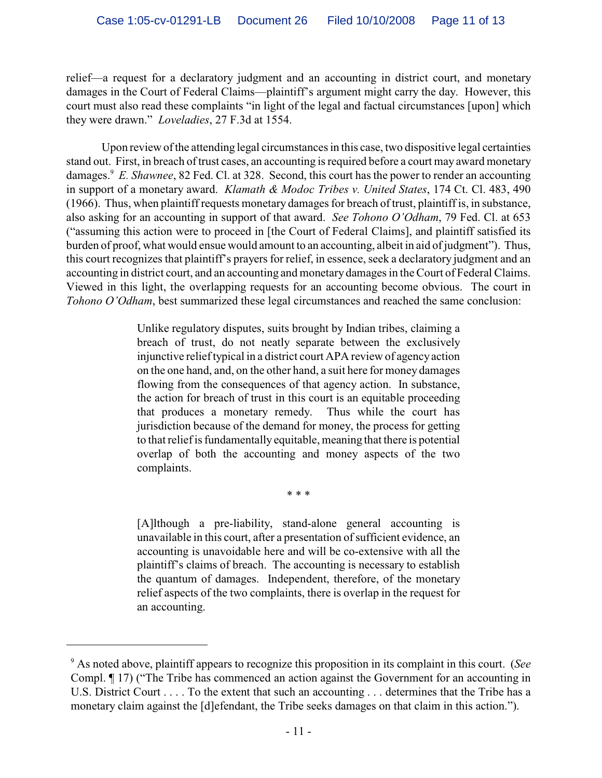relief—a request for a declaratory judgment and an accounting in district court, and monetary damages in the Court of Federal Claims—plaintiff's argument might carry the day. However, this court must also read these complaints "in light of the legal and factual circumstances [upon] which they were drawn." *Loveladies*, 27 F.3d at 1554.

Upon review of the attending legal circumstances in this case, two dispositive legal certainties stand out. First, in breach of trust cases, an accounting is required before a court may award monetary damages.<sup>9</sup> E. Shawnee, 82 Fed. Cl. at 328. Second, this court has the power to render an accounting in support of a monetary award. *Klamath & Modoc Tribes v. United States*, 174 Ct. Cl. 483, 490 (1966).Thus, when plaintiff requests monetary damages for breach of trust, plaintiff is, in substance, also asking for an accounting in support of that award. *See Tohono O'Odham*, 79 Fed. Cl. at 653 ("assuming this action were to proceed in [the Court of Federal Claims], and plaintiff satisfied its burden of proof, what would ensue would amount to an accounting, albeit in aid of judgment"). Thus, this court recognizes that plaintiff's prayers for relief, in essence, seek a declaratory judgment and an accounting in district court, and an accounting and monetary damages in theCourt of Federal Claims. Viewed in this light, the overlapping requests for an accounting become obvious. The court in *Tohono O'Odham*, best summarized these legal circumstances and reached the same conclusion:

> Unlike regulatory disputes, suits brought by Indian tribes, claiming a breach of trust, do not neatly separate between the exclusively injunctive relief typical in a district court APA review of agency action on the one hand, and, on the other hand, a suit here for money damages flowing from the consequences of that agency action. In substance, the action for breach of trust in this court is an equitable proceeding that produces a monetary remedy. Thus while the court has jurisdiction because of the demand for money, the process for getting to that relief is fundamentally equitable, meaning that there is potential overlap of both the accounting and money aspects of the two complaints.

> > \* \* \*

[A]lthough a pre-liability, stand-alone general accounting is unavailable in this court, after a presentation of sufficient evidence, an accounting is unavoidable here and will be co-extensive with all the plaintiff's claims of breach. The accounting is necessary to establish the quantum of damages. Independent, therefore, of the monetary relief aspects of the two complaints, there is overlap in the request for an accounting.

As noted above, plaintiff appears to recognize this proposition in its complaint in this court. (*See* <sup>9</sup> Compl. ¶ 17) ("The Tribe has commenced an action against the Government for an accounting in U.S. District Court . . . . To the extent that such an accounting . . . determines that the Tribe has a monetary claim against the [d]efendant, the Tribe seeks damages on that claim in this action.").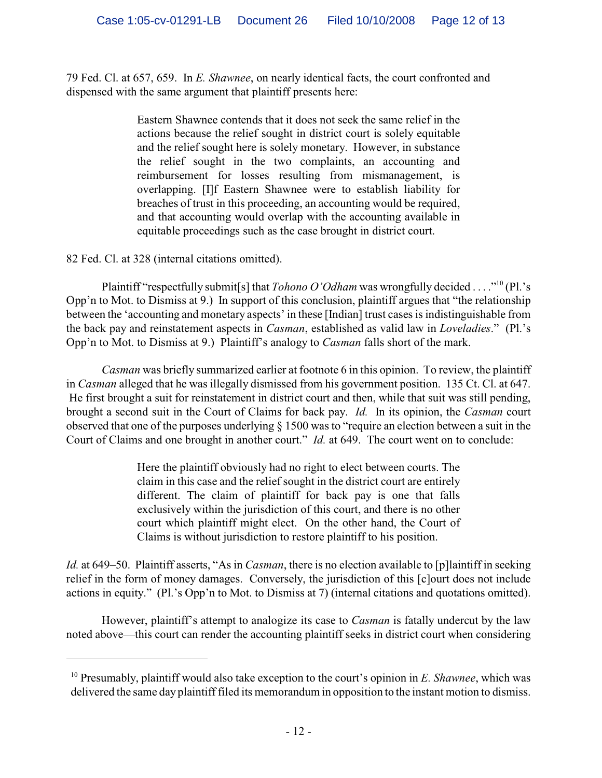79 Fed. Cl. at 657, 659. In *E. Shawnee*, on nearly identical facts, the court confronted and dispensed with the same argument that plaintiff presents here:

> Eastern Shawnee contends that it does not seek the same relief in the actions because the relief sought in district court is solely equitable and the relief sought here is solely monetary. However, in substance the relief sought in the two complaints, an accounting and reimbursement for losses resulting from mismanagement, is overlapping. [I]f Eastern Shawnee were to establish liability for breaches of trust in this proceeding, an accounting would be required, and that accounting would overlap with the accounting available in equitable proceedings such as the case brought in district court.

82 Fed. Cl. at 328 (internal citations omitted).

Plaintiff "respectfully submit[s] that *Tohono O'Odham* was wrongfully decided . . . . "<sup>10</sup> (Pl.'s Opp'n to Mot. to Dismiss at 9.) In support of this conclusion, plaintiff argues that "the relationship between the 'accounting and monetary aspects' in these [Indian] trust cases is indistinguishable from the back pay and reinstatement aspects in *Casman*, established as valid law in *Loveladies*." (Pl.'s Opp'n to Mot. to Dismiss at 9.) Plaintiff's analogy to *Casman* falls short of the mark.

*Casman* was briefly summarized earlier at footnote 6 in this opinion. To review, the plaintiff in *Casman* alleged that he was illegally dismissed from his government position. 135 Ct. Cl. at 647. He first brought a suit for reinstatement in district court and then, while that suit was still pending, brought a second suit in the Court of Claims for back pay. *Id.* In its opinion, the *Casman* court observed that one of the purposes underlying § 1500 was to "require an election between a suit in the Court of Claims and one brought in another court." *Id.* at 649. The court went on to conclude:

> Here the plaintiff obviously had no right to elect between courts. The claim in this case and the relief sought in the district court are entirely different. The claim of plaintiff for back pay is one that falls exclusively within the jurisdiction of this court, and there is no other court which plaintiff might elect. On the other hand, the Court of Claims is without jurisdiction to restore plaintiff to his position.

*Id.* at 649–50. Plaintiff asserts, "As in *Casman*, there is no election available to [p]laintiff in seeking relief in the form of money damages. Conversely, the jurisdiction of this [c]ourt does not include actions in equity." (Pl.'s Opp'n to Mot. to Dismiss at 7) (internal citations and quotations omitted).

However, plaintiff's attempt to analogize its case to *Casman* is fatally undercut by the law noted above—this court can render the accounting plaintiff seeks in district court when considering

<sup>&</sup>lt;sup>10</sup> Presumably, plaintiff would also take exception to the court's opinion in *E. Shawnee*, which was delivered the same day plaintiff filed its memorandum in opposition to the instant motion to dismiss.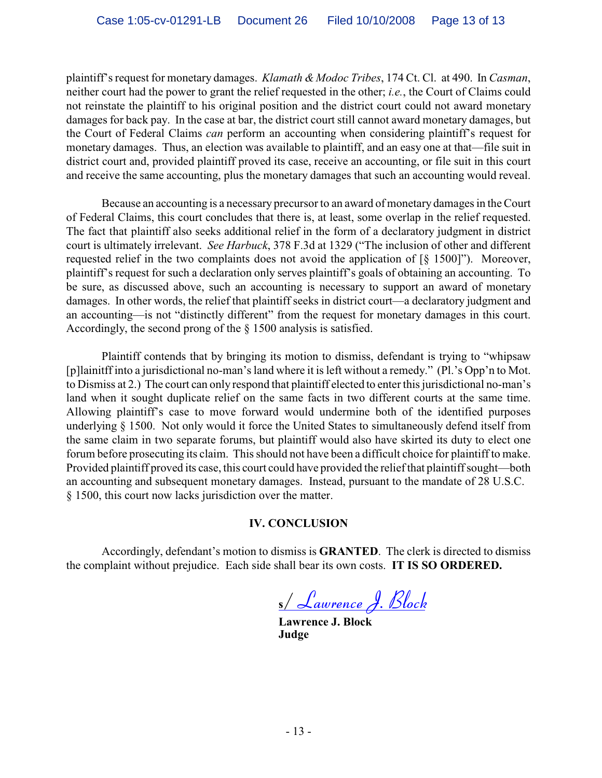plaintiff's request for monetary damages. *Klamath & Modoc Tribes*, 174 Ct. Cl. at 490. In *Casman*, neither court had the power to grant the relief requested in the other; *i.e.*, the Court of Claims could not reinstate the plaintiff to his original position and the district court could not award monetary damages for back pay. In the case at bar, the district court still cannot award monetary damages, but the Court of Federal Claims *can* perform an accounting when considering plaintiff's request for monetary damages. Thus, an election was available to plaintiff, and an easy one at that—file suit in district court and, provided plaintiff proved its case, receive an accounting, or file suit in this court and receive the same accounting, plus the monetary damages that such an accounting would reveal.

Because an accounting is a necessary precursor to an award of monetary damages in the Court of Federal Claims, this court concludes that there is, at least, some overlap in the relief requested. The fact that plaintiff also seeks additional relief in the form of a declaratory judgment in district court is ultimately irrelevant. *See Harbuck*, 378 F.3d at 1329 ("The inclusion of other and different requested relief in the two complaints does not avoid the application of [§ 1500]"). Moreover, plaintiff's request for such a declaration only serves plaintiff's goals of obtaining an accounting. To be sure, as discussed above, such an accounting is necessary to support an award of monetary damages. In other words, the relief that plaintiff seeks in district court—a declaratory judgment and an accounting—is not "distinctly different" from the request for monetary damages in this court. Accordingly, the second prong of the § 1500 analysis is satisfied.

Plaintiff contends that by bringing its motion to dismiss, defendant is trying to "whipsaw [p]lainitff into a jurisdictional no-man's land where it is left without a remedy." (Pl.'s Opp'n to Mot. to Dismiss at 2.) The court can only respond that plaintiff elected to enter this jurisdictional no-man's land when it sought duplicate relief on the same facts in two different courts at the same time. Allowing plaintiff's case to move forward would undermine both of the identified purposes underlying § 1500. Not only would it force the United States to simultaneously defend itself from the same claim in two separate forums, but plaintiff would also have skirted its duty to elect one forum before prosecuting its claim. This should not have been a difficult choice for plaintiff to make. Provided plaintiff proved its case, this court could have provided the relief that plaintiff sought—both an accounting and subsequent monetary damages. Instead, pursuant to the mandate of 28 U.S.C. § 1500, this court now lacks jurisdiction over the matter.

### **IV. CONCLUSION**

Accordingly, defendant's motion to dismiss is **GRANTED**. The clerk is directed to dismiss the complaint without prejudice. Each side shall bear its own costs. **IT IS SO ORDERED.**

**<sup>s</sup>**/*Lawrence J. Block*

**Lawrence J. Block Judge**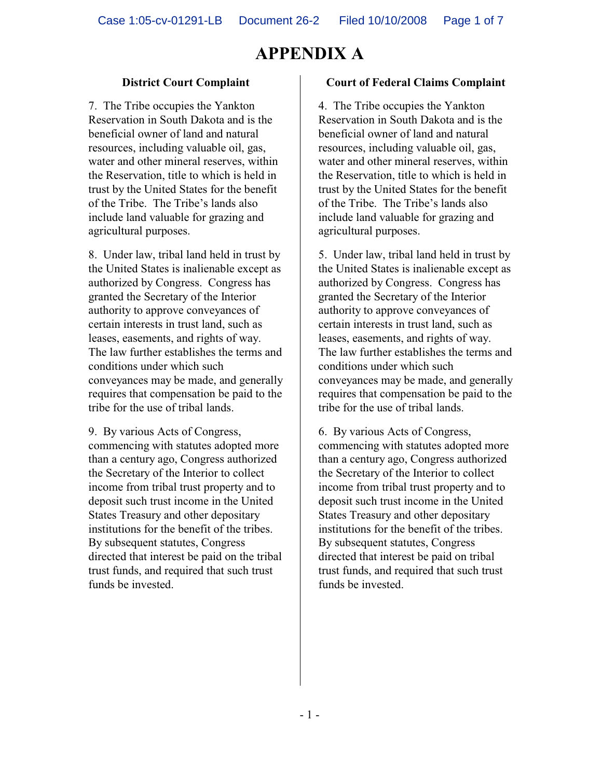### **District Court Complaint**

7. The Tribe occupies the Yankton Reservation in South Dakota and is the beneficial owner of land and natural resources, including valuable oil, gas, water and other mineral reserves, within the Reservation, title to which is held in trust by the United States for the benefit of the Tribe. The Tribe's lands also include land valuable for grazing and agricultural purposes.

8. Under law, tribal land held in trust by the United States is inalienable except as authorized by Congress. Congress has granted the Secretary of the Interior authority to approve conveyances of certain interests in trust land, such as leases, easements, and rights of way. The law further establishes the terms and conditions under which such conveyances may be made, and generally requires that compensation be paid to the tribe for the use of tribal lands.

9. By various Acts of Congress, commencing with statutes adopted more than a century ago, Congress authorized the Secretary of the Interior to collect income from tribal trust property and to deposit such trust income in the United States Treasury and other depositary institutions for the benefit of the tribes. By subsequent statutes, Congress directed that interest be paid on the tribal trust funds, and required that such trust funds be invested.

#### **Court of Federal Claims Complaint**

4. The Tribe occupies the Yankton Reservation in South Dakota and is the beneficial owner of land and natural resources, including valuable oil, gas, water and other mineral reserves, within the Reservation, title to which is held in trust by the United States for the benefit of the Tribe. The Tribe's lands also include land valuable for grazing and agricultural purposes.

5. Under law, tribal land held in trust by the United States is inalienable except as authorized by Congress. Congress has granted the Secretary of the Interior authority to approve conveyances of certain interests in trust land, such as leases, easements, and rights of way. The law further establishes the terms and conditions under which such conveyances may be made, and generally requires that compensation be paid to the tribe for the use of tribal lands.

6. By various Acts of Congress, commencing with statutes adopted more than a century ago, Congress authorized the Secretary of the Interior to collect income from tribal trust property and to deposit such trust income in the United States Treasury and other depositary institutions for the benefit of the tribes. By subsequent statutes, Congress directed that interest be paid on tribal trust funds, and required that such trust funds be invested.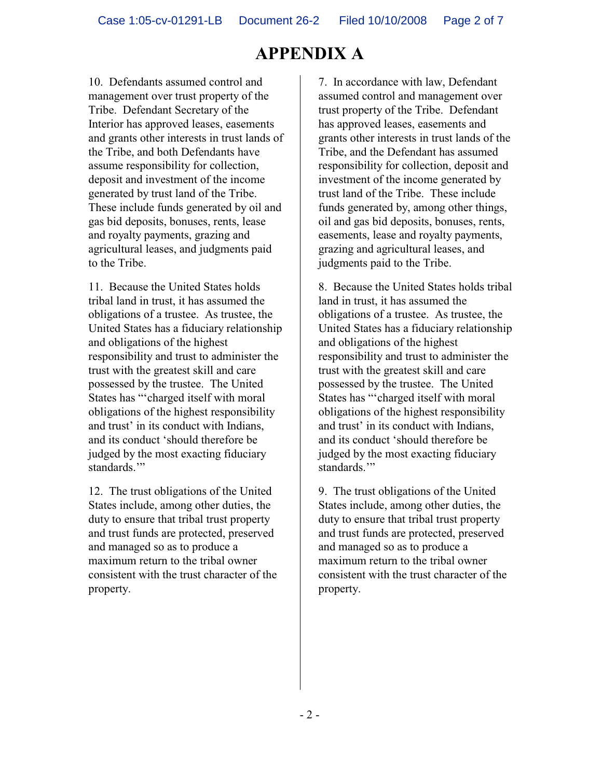10. Defendants assumed control and management over trust property of the Tribe. Defendant Secretary of the Interior has approved leases, easements and grants other interests in trust lands of the Tribe, and both Defendants have assume responsibility for collection, deposit and investment of the income generated by trust land of the Tribe. These include funds generated by oil and gas bid deposits, bonuses, rents, lease and royalty payments, grazing and agricultural leases, and judgments paid to the Tribe.

11. Because the United States holds tribal land in trust, it has assumed the obligations of a trustee. As trustee, the United States has a fiduciary relationship and obligations of the highest responsibility and trust to administer the trust with the greatest skill and care possessed by the trustee. The United States has "'charged itself with moral obligations of the highest responsibility and trust' in its conduct with Indians, and its conduct 'should therefore be judged by the most exacting fiduciary standards."

12. The trust obligations of the United States include, among other duties, the duty to ensure that tribal trust property and trust funds are protected, preserved and managed so as to produce a maximum return to the tribal owner consistent with the trust character of the property.

7. In accordance with law, Defendant assumed control and management over trust property of the Tribe. Defendant has approved leases, easements and grants other interests in trust lands of the Tribe, and the Defendant has assumed responsibility for collection, deposit and investment of the income generated by trust land of the Tribe. These include funds generated by, among other things, oil and gas bid deposits, bonuses, rents, easements, lease and royalty payments, grazing and agricultural leases, and judgments paid to the Tribe.

8. Because the United States holds tribal land in trust, it has assumed the obligations of a trustee. As trustee, the United States has a fiduciary relationship and obligations of the highest responsibility and trust to administer the trust with the greatest skill and care possessed by the trustee. The United States has "'charged itself with moral obligations of the highest responsibility and trust' in its conduct with Indians, and its conduct 'should therefore be judged by the most exacting fiduciary standards."

9. The trust obligations of the United States include, among other duties, the duty to ensure that tribal trust property and trust funds are protected, preserved and managed so as to produce a maximum return to the tribal owner consistent with the trust character of the property.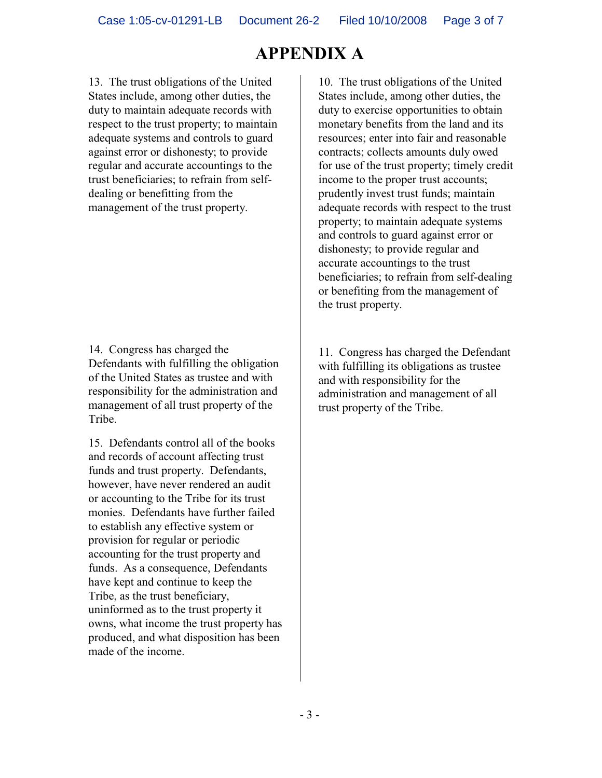13. The trust obligations of the United States include, among other duties, the duty to maintain adequate records with respect to the trust property; to maintain adequate systems and controls to guard against error or dishonesty; to provide regular and accurate accountings to the trust beneficiaries; to refrain from selfdealing or benefitting from the management of the trust property.

14. Congress has charged the Defendants with fulfilling the obligation of the United States as trustee and with responsibility for the administration and management of all trust property of the Tribe.

15. Defendants control all of the books and records of account affecting trust funds and trust property. Defendants, however, have never rendered an audit or accounting to the Tribe for its trust monies. Defendants have further failed to establish any effective system or provision for regular or periodic accounting for the trust property and funds. As a consequence, Defendants have kept and continue to keep the Tribe, as the trust beneficiary, uninformed as to the trust property it owns, what income the trust property has produced, and what disposition has been made of the income.

10. The trust obligations of the United States include, among other duties, the duty to exercise opportunities to obtain monetary benefits from the land and its resources; enter into fair and reasonable contracts; collects amounts duly owed for use of the trust property; timely credit income to the proper trust accounts; prudently invest trust funds; maintain adequate records with respect to the trust property; to maintain adequate systems and controls to guard against error or dishonesty; to provide regular and accurate accountings to the trust beneficiaries; to refrain from self-dealing or benefiting from the management of the trust property.

11. Congress has charged the Defendant with fulfilling its obligations as trustee and with responsibility for the administration and management of all trust property of the Tribe.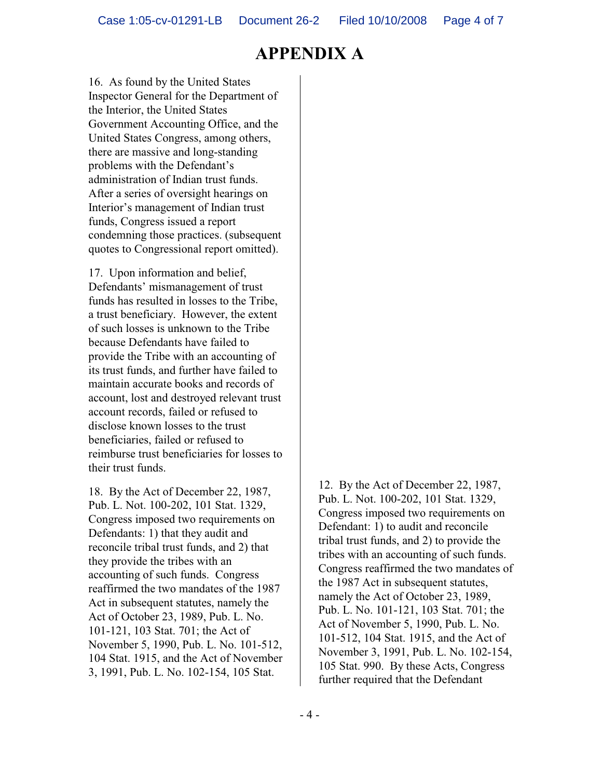16. As found by the United States Inspector General for the Department of the Interior, the United States Government Accounting Office, and the United States Congress, among others, there are massive and long-standing problems with the Defendant's administration of Indian trust funds. After a series of oversight hearings on Interior's management of Indian trust funds, Congress issued a report condemning those practices. (subsequent quotes to Congressional report omitted).

17. Upon information and belief, Defendants' mismanagement of trust funds has resulted in losses to the Tribe, a trust beneficiary. However, the extent of such losses is unknown to the Tribe because Defendants have failed to provide the Tribe with an accounting of its trust funds, and further have failed to maintain accurate books and records of account, lost and destroyed relevant trust account records, failed or refused to disclose known losses to the trust beneficiaries, failed or refused to reimburse trust beneficiaries for losses to their trust funds.

18. By the Act of December 22, 1987, Pub. L. Not. 100-202, 101 Stat. 1329, Congress imposed two requirements on Defendants: 1) that they audit and reconcile tribal trust funds, and 2) that they provide the tribes with an accounting of such funds. Congress reaffirmed the two mandates of the 1987 Act in subsequent statutes, namely the Act of October 23, 1989, Pub. L. No. 101-121, 103 Stat. 701; the Act of November 5, 1990, Pub. L. No. 101-512, 104 Stat. 1915, and the Act of November 3, 1991, Pub. L. No. 102-154, 105 Stat.

12. By the Act of December 22, 1987, Pub. L. Not. 100-202, 101 Stat. 1329, Congress imposed two requirements on Defendant: 1) to audit and reconcile tribal trust funds, and 2) to provide the tribes with an accounting of such funds. Congress reaffirmed the two mandates of the 1987 Act in subsequent statutes, namely the Act of October 23, 1989, Pub. L. No. 101-121, 103 Stat. 701; the Act of November 5, 1990, Pub. L. No. 101-512, 104 Stat. 1915, and the Act of November 3, 1991, Pub. L. No. 102-154, 105 Stat. 990. By these Acts, Congress further required that the Defendant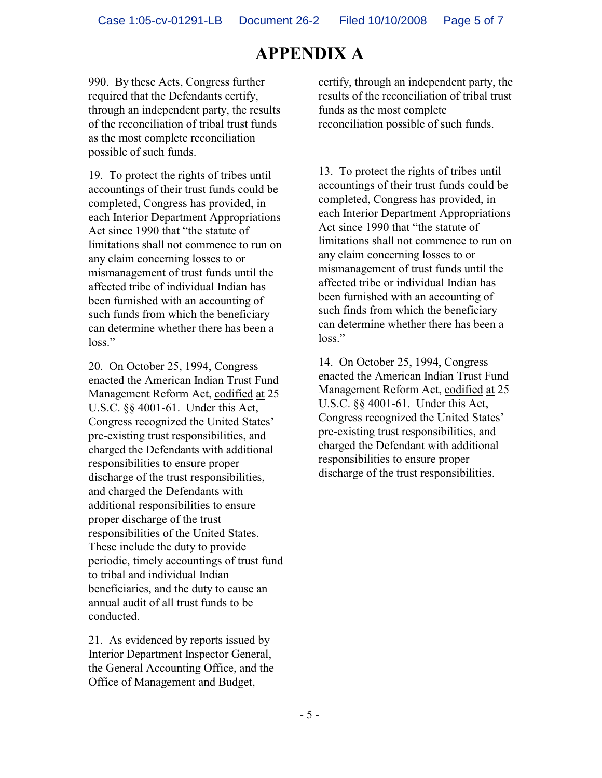990. By these Acts, Congress further required that the Defendants certify, through an independent party, the results of the reconciliation of tribal trust funds as the most complete reconciliation possible of such funds.

19. To protect the rights of tribes until accountings of their trust funds could be completed, Congress has provided, in each Interior Department Appropriations Act since 1990 that "the statute of limitations shall not commence to run on any claim concerning losses to or mismanagement of trust funds until the affected tribe of individual Indian has been furnished with an accounting of such funds from which the beneficiary can determine whether there has been a loss."

20. On October 25, 1994, Congress enacted the American Indian Trust Fund Management Reform Act, codified at 25 U.S.C. §§ 4001-61. Under this Act, Congress recognized the United States' pre-existing trust responsibilities, and charged the Defendants with additional responsibilities to ensure proper discharge of the trust responsibilities, and charged the Defendants with additional responsibilities to ensure proper discharge of the trust responsibilities of the United States. These include the duty to provide periodic, timely accountings of trust fund to tribal and individual Indian beneficiaries, and the duty to cause an annual audit of all trust funds to be conducted.

21. As evidenced by reports issued by Interior Department Inspector General, the General Accounting Office, and the Office of Management and Budget,

certify, through an independent party, the results of the reconciliation of tribal trust funds as the most complete reconciliation possible of such funds.

13. To protect the rights of tribes until accountings of their trust funds could be completed, Congress has provided, in each Interior Department Appropriations Act since 1990 that "the statute of limitations shall not commence to run on any claim concerning losses to or mismanagement of trust funds until the affected tribe or individual Indian has been furnished with an accounting of such finds from which the beneficiary can determine whether there has been a loss<sup>"</sup>

14. On October 25, 1994, Congress enacted the American Indian Trust Fund Management Reform Act, codified at 25 U.S.C. §§ 4001-61. Under this Act, Congress recognized the United States' pre-existing trust responsibilities, and charged the Defendant with additional responsibilities to ensure proper discharge of the trust responsibilities.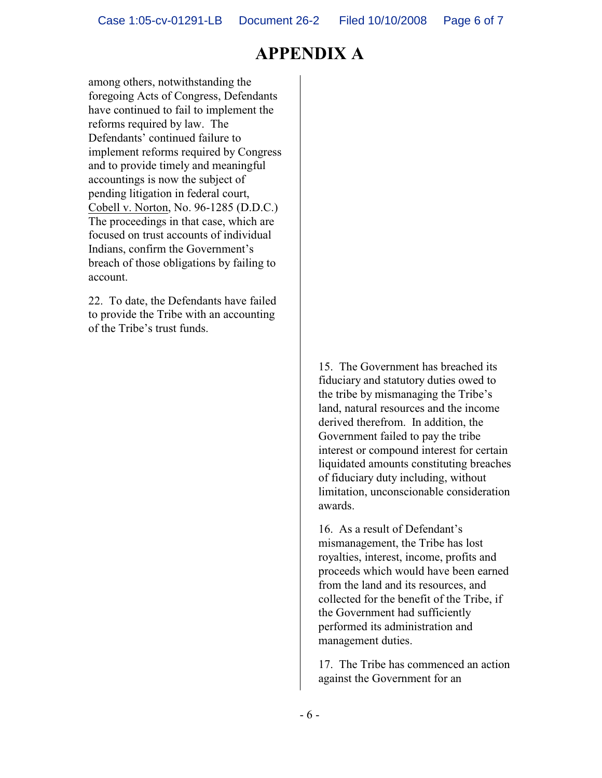among others, notwithstanding the foregoing Acts of Congress, Defendants have continued to fail to implement the reforms required by law. The Defendants' continued failure to implement reforms required by Congress and to provide timely and meaningful accountings is now the subject of pending litigation in federal court, Cobell v. Norton, No. 96-1285 (D.D.C.) The proceedings in that case, which are focused on trust accounts of individual Indians, confirm the Government's breach of those obligations by failing to account.

22. To date, the Defendants have failed to provide the Tribe with an accounting of the Tribe's trust funds.

> 15. The Government has breached its fiduciary and statutory duties owed to the tribe by mismanaging the Tribe's land, natural resources and the income derived therefrom. In addition, the Government failed to pay the tribe interest or compound interest for certain liquidated amounts constituting breaches of fiduciary duty including, without limitation, unconscionable consideration awards.

> 16. As a result of Defendant's mismanagement, the Tribe has lost royalties, interest, income, profits and proceeds which would have been earned from the land and its resources, and collected for the benefit of the Tribe, if the Government had sufficiently performed its administration and management duties.

> 17. The Tribe has commenced an action against the Government for an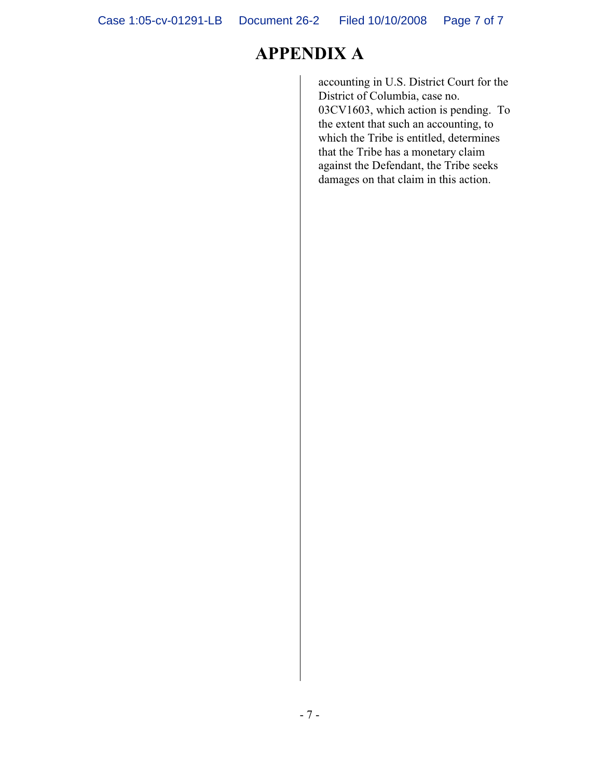accounting in U.S. District Court for the District of Columbia, case no. 03CV1603, which action is pending. To the extent that such an accounting, to which the Tribe is entitled, determines that the Tribe has a monetary claim against the Defendant, the Tribe seeks damages on that claim in this action.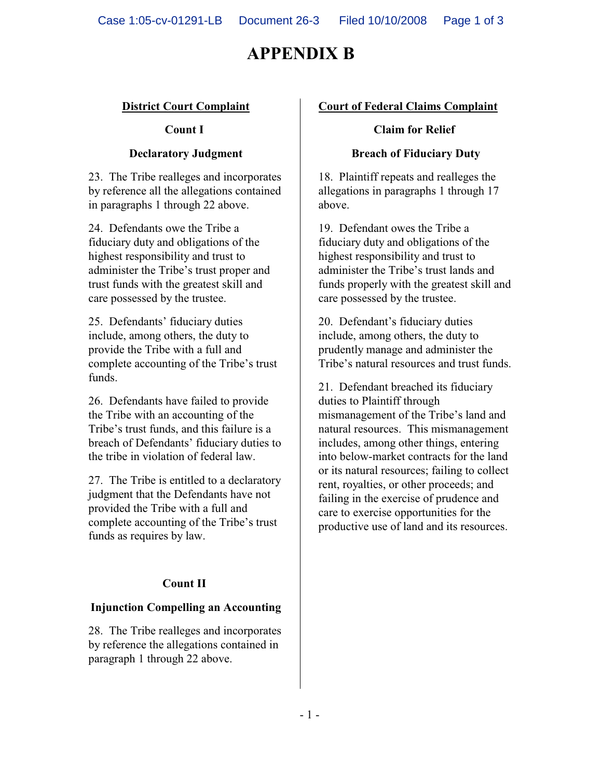# **APPENDIX B**

### **District Court Complaint**

### **Count I**

### **Declaratory Judgment**

23. The Tribe realleges and incorporates by reference all the allegations contained in paragraphs 1 through 22 above.

24. Defendants owe the Tribe a fiduciary duty and obligations of the highest responsibility and trust to administer the Tribe's trust proper and trust funds with the greatest skill and care possessed by the trustee.

25. Defendants' fiduciary duties include, among others, the duty to provide the Tribe with a full and complete accounting of the Tribe's trust funds.

26. Defendants have failed to provide the Tribe with an accounting of the Tribe's trust funds, and this failure is a breach of Defendants' fiduciary duties to the tribe in violation of federal law.

27. The Tribe is entitled to a declaratory judgment that the Defendants have not provided the Tribe with a full and complete accounting of the Tribe's trust funds as requires by law.

### **Count II**

### **Injunction Compelling an Accounting**

28. The Tribe realleges and incorporates by reference the allegations contained in paragraph 1 through 22 above.

### **Court of Federal Claims Complaint**

#### **Claim for Relief**

#### **Breach of Fiduciary Duty**

18. Plaintiff repeats and realleges the allegations in paragraphs 1 through 17 above.

19. Defendant owes the Tribe a fiduciary duty and obligations of the highest responsibility and trust to administer the Tribe's trust lands and funds properly with the greatest skill and care possessed by the trustee.

20. Defendant's fiduciary duties include, among others, the duty to prudently manage and administer the Tribe's natural resources and trust funds.

21. Defendant breached its fiduciary duties to Plaintiff through mismanagement of the Tribe's land and natural resources. This mismanagement includes, among other things, entering into below-market contracts for the land or its natural resources; failing to collect rent, royalties, or other proceeds; and failing in the exercise of prudence and care to exercise opportunities for the productive use of land and its resources.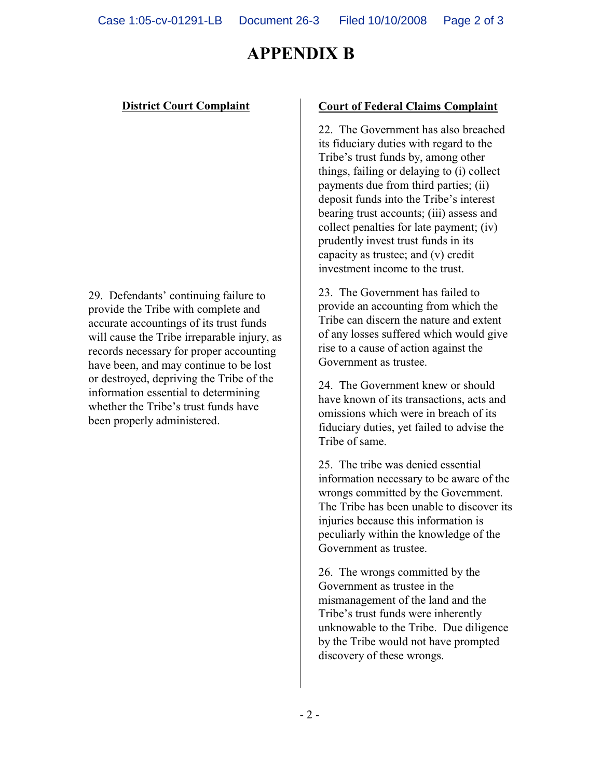# **APPENDIX B**

### **District Court Complaint**

29. Defendants' continuing failure to provide the Tribe with complete and accurate accountings of its trust funds will cause the Tribe irreparable injury, as records necessary for proper accounting have been, and may continue to be lost or destroyed, depriving the Tribe of the information essential to determining whether the Tribe's trust funds have been properly administered.

#### **Court of Federal Claims Complaint**

22. The Government has also breached its fiduciary duties with regard to the Tribe's trust funds by, among other things, failing or delaying to (i) collect payments due from third parties; (ii) deposit funds into the Tribe's interest bearing trust accounts; (iii) assess and collect penalties for late payment; (iv) prudently invest trust funds in its capacity as trustee; and (v) credit investment income to the trust.

23. The Government has failed to provide an accounting from which the Tribe can discern the nature and extent of any losses suffered which would give rise to a cause of action against the Government as trustee.

24. The Government knew or should have known of its transactions, acts and omissions which were in breach of its fiduciary duties, yet failed to advise the Tribe of same.

25. The tribe was denied essential information necessary to be aware of the wrongs committed by the Government. The Tribe has been unable to discover its injuries because this information is peculiarly within the knowledge of the Government as trustee.

26. The wrongs committed by the Government as trustee in the mismanagement of the land and the Tribe's trust funds were inherently unknowable to the Tribe. Due diligence by the Tribe would not have prompted discovery of these wrongs.